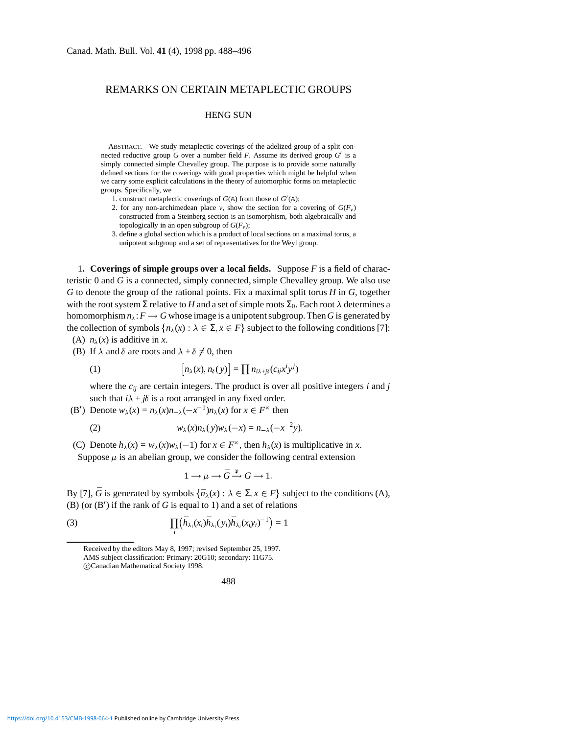## REMARKS ON CERTAIN METAPLECTIC GROUPS

## HENG SUN

ABSTRACT. We study metaplectic coverings of the adelized group of a split connected reductive group  $G$  over a number field  $F$ . Assume its derived group  $G'$  is a simply connected simple Chevalley group. The purpose is to provide some naturally defined sections for the coverings with good properties which might be helpful when we carry some explicit calculations in the theory of automorphic forms on metaplectic groups. Specifically, we

- 1. construct metaplectic coverings of  $G(A)$  from those of  $G'(\mathbb{A})$ ;
- 2. for any non-archimedean place *v*, show the section for a covering of  $G(F_v)$ constructed from a Steinberg section is an isomorphism, both algebraically and topologically in an open subgroup of  $G(F_v)$ ;
- 3. define a global section which is a product of local sections on a maximal torus, a unipotent subgroup and a set of representatives for the Weyl group.

1**. Coverings of simple groups over a local fields.** Suppose *F* is a field of characteristic 0 and *G* is a connected, simply connected, simple Chevalley group. We also use *G* to denote the group of the rational points. Fix a maximal split torus *H* in *G*, together with the root system  $\Sigma$  relative to *H* and a set of simple roots  $\Sigma_0$ . Each root  $\lambda$  determines a homomorphism  $n_{\lambda}: F \longrightarrow G$  whose image is a unipotent subgroup. Then G is generated by the collection of symbols  $\{n_{\lambda}(x): \lambda \in \Sigma, x \in F\}$  subject to the following conditions [7]: (A)  $n_{\lambda}(x)$  is additive in *x*.

(B) If  $\lambda$  and  $\delta$  are roots and  $\lambda + \delta \neq 0$ , then

(1) 
$$
[n_{\lambda}(x), n_{\delta}(y)] = \prod n_{i\lambda + j\delta}(c_{ij}x^{i}y^{j})
$$

where the *cij* are certain integers. The product is over all positive integers *i* and *j* such that  $i\lambda + j\delta$  is a root arranged in any fixed order.

(B<sup>'</sup>) Denote  $w_{\lambda}(x) = n_{\lambda}(x)n_{-\lambda}(-x^{-1})n_{\lambda}(x)$  for  $x \in F^{\times}$  then

(2) 
$$
w_{\lambda}(x)n_{\lambda}(y)w_{\lambda}(-x) = n_{-\lambda}(-x^{-2}y).
$$

(C) Denote  $h_{\lambda}(x) = w_{\lambda}(x)w_{\lambda}(-1)$  for  $x \in F^{\times}$ , then  $h_{\lambda}(x)$  is multiplicative in *x*. Suppose  $\mu$  is an abelian group, we consider the following central extension

$$
1\longrightarrow \mu\longrightarrow \bar G\stackrel{\mathfrak{p}}{\longrightarrow} G\longrightarrow 1.
$$

By [7],  $\bar{G}$  is generated by symbols  $\{\bar{n}_{\lambda}(x): \lambda \in \Sigma, x \in F\}$  subject to the conditions (A),  $(B)$  (or  $(B')$  if the rank of *G* is equal to 1) and a set of relations

(3) 
$$
\prod_i (\bar{h}_{\lambda_i}(x_i)\bar{h}_{\lambda_i}(y_i)\bar{h}_{\lambda_i}(x_iy_i)^{-1}) = 1
$$

488

Received by the editors May 8, 1997; revised September 25, 1997. AMS subject classification: Primary: 20G10; secondary: 11G75. c Canadian Mathematical Society 1998.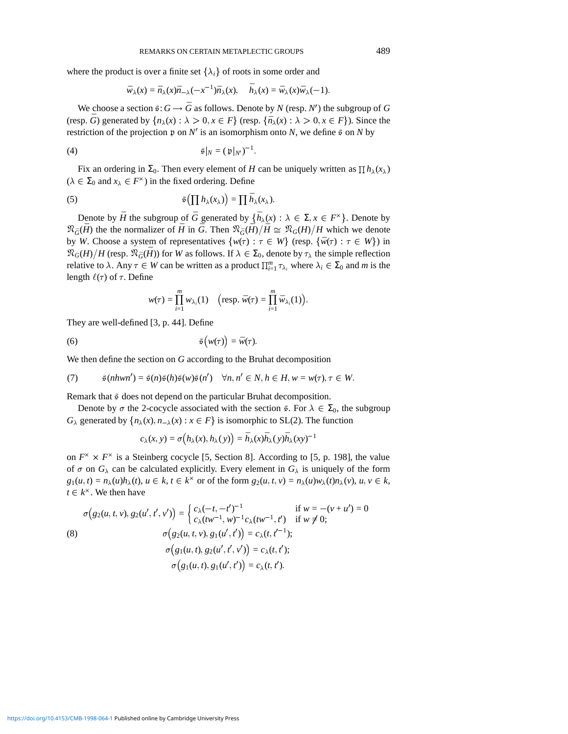where the product is over a finite set  $\{\lambda_i\}$  of roots in some order and

$$
\bar{w}_{\lambda}(x) = \bar{n}_{\lambda}(x)\bar{n}_{-\lambda}(-x^{-1})\bar{n}_{\lambda}(x), \quad \bar{h}_{\lambda}(x) = \bar{w}_{\lambda}(x)\bar{w}_{\lambda}(-1).
$$

We choose a section  $\hat{\mathfrak{s}}: G \to \bar{G}$  as follows. Denote by *N* (resp. *N'*) the subgroup of *G* (resp.  $\overline{G}$ ) generated by  $\{n_{\lambda}(x): \lambda > 0, x \in F\}$  (resp.  $\{\overline{n}_{\lambda}(x): \lambda > 0, x \in F\}$ ). Since the restriction of the projection  $\mathfrak p$  on  $N'$  is an isomorphism onto *N*, we define  $\hat{\mathfrak s}$  on *N* by

$$
\hat{\varphi}|_N = (\mathfrak{p}|_{N'})^{-1}.
$$

Fix an ordering in  $\Sigma_0$ . Then every element of *H* can be uniquely written as  $\Pi h_\lambda(x_\lambda)$  $(\lambda \in \Sigma_0 \text{ and } x_\lambda \in F^\times)$  in the fixed ordering. Define

(5) 
$$
\mathfrak{S}\left(\prod h_{\lambda}(x_{\lambda})\right)=\prod \bar{h}_{\lambda}(x_{\lambda}).
$$

Denote by  $\bar{H}$  the subgroup of  $\bar{G}$  generated by  $\{\bar{h}_{\lambda}(x): \lambda \in \Sigma, x \in F^{\times}\}\.$  Denote by  $\Re_{\tilde{G}}(\bar{H})$  the the normalizer of  $\bar{H}$  in  $\bar{G}$ . Then  $\Re_{\tilde{G}}(\bar{H})/\bar{H} \cong \Re_{G}(H)/H$  which we denote by *W*. Choose a system of representatives  $\{w(\tau) : \tau \in W\}$  (resp.  $\{\bar{w}(\tau) : \tau \in W\}$ ) in  $\Re_G(H)/H$  (resp.  $\Re_{\tilde{G}}(\tilde{H})$ ) for *W* as follows. If  $\lambda \in \Sigma_0$ , denote by  $\tau_\lambda$  the simple reflection relative to  $\lambda$ . Any  $\tau \in W$  can be written as a product  $\prod_{i=1}^{m} \tau_{\lambda_i}$  where  $\lambda_i \in \Sigma_0$  and *m* is the length  $\ell(\tau)$  of  $\tau$ . Define

$$
w(\tau) = \prod_{i=1}^m w_{\lambda_i}(1) \quad \left(\text{resp. } \bar{w}(\tau) = \prod_{i=1}^m \bar{w}_{\lambda_i}(1)\right).
$$

They are well-defined [3, p. 44]. Define

(6) 
$$
\hat{\varphi}(w(\tau)) = \bar{w}(\tau).
$$

We then define the section on *G* according to the Bruhat decomposition

(7) 
$$
\hat{s}(nhwn') = \hat{s}(n)\hat{s}(h)\hat{s}(w)\hat{s}(n') \quad \forall n, n' \in N, h \in H, w = w(\tau), \tau \in W.
$$

Remark that  $\frac{2}{3}$  does not depend on the particular Bruhat decomposition.

Denote by  $\sigma$  the 2-cocycle associated with the section  $\hat{\varphi}$ . For  $\lambda \in \Sigma_0$ , the subgroup *G*<sub> $\lambda$ </sub> generated by  $\{n_{\lambda}(x), n_{-\lambda}(x) : x \in F\}$  is isomorphic to SL(2). The function

$$
c_{\lambda}(x,y) = \sigma\big(h_{\lambda}(x),h_{\lambda}(y)\big) = \bar{h}_{\lambda}(x)\bar{h}_{\lambda}(y)\bar{h}_{\lambda}(xy)^{-1}
$$

on  $F^{\times} \times F^{\times}$  is a Steinberg cocycle [5, Section 8]. According to [5, p. 198], the value of  $\sigma$  on  $G_\lambda$  can be calculated explicitly. Every element in  $G_\lambda$  is uniquely of the form  $g_1(u,t) = n_\lambda(u)h_\lambda(t)$ ,  $u \in k$ ,  $t \in k^\times$  or of the form  $g_2(u,t,v) = n_\lambda(u)w_\lambda(t)n_\lambda(v)$ ,  $u, v \in k$ ,  $t \in k^{\times}$ . We then have

(8)  
\n
$$
\sigma(g_2(u, t, v), g_2(u', t', v')) = \begin{cases}\nc_{\lambda}(-t, -t')^{-1} & \text{if } w = -(v + u') = 0 \\
c_{\lambda}(tw^{-1}, w)^{-1}c_{\lambda}(tw^{-1}, t') & \text{if } w \neq 0;\n\end{cases}
$$
\n
$$
\sigma(g_2(u, t, v), g_1(u', t')) = c_{\lambda}(t, t'^{-1});
$$
\n
$$
\sigma(g_1(u, t), g_2(u', t', v')) = c_{\lambda}(t, t');
$$
\n
$$
\sigma(g_1(u, t), g_1(u', t')) = c_{\lambda}(t, t').
$$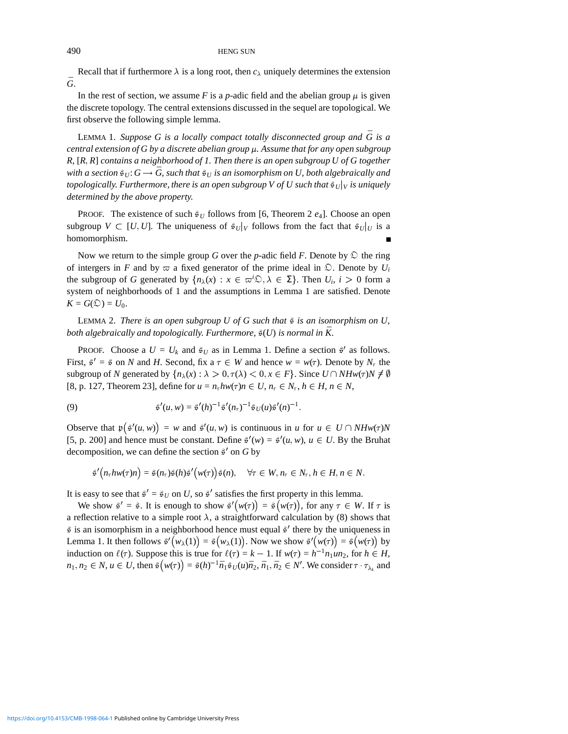Recall that if furthermore  $\lambda$  is a long root, then  $c_{\lambda}$  uniquely determines the extension  $\bar{G}$ .

In the rest of section, we assume *F* is a *p*-adic field and the abelian group  $\mu$  is given the discrete topology. The central extensions discussed in the sequel are topological. We first observe the following simple lemma.

LEMMA 1. Suppose G is a locally compact totally disconnected group and  $\bar{G}$  is a *central extension of G by a discrete abelian group*  $\mu$ . Assume that for any open subgroup *R,* [*R*ñ *R*] *contains a neighborhood of 1. Then there is an open subgroup U of G together with a section*  $\hat{\mathfrak{s}}_U$ :  $G \to \bar{G}$ , such that  $\hat{\mathfrak{s}}_U$  is an isomorphism on U, both algebraically and *topologically. Furthermore, there is an open subgroup V of U such that*  $\frac{\partial v}{\partial y}$  *is uniquely determined by the above property.*

PROOF. The existence of such  $\hat{\mathfrak{s}}_U$  follows from [6, Theorem 2  $e_4$ ]. Choose an open subgroup  $V \subset [U, U]$ . The uniqueness of  $\mathcal{E}_U|_V$  follows from the fact that  $\mathcal{E}_U|_U$  is a homomorphism.

Now we return to the simple group *G* over the *p*-adic field *F*. Denote by  $\mathcal{D}$  the ring of intergers in *F* and by  $\varpi$  a fixed generator of the prime ideal in  $\mathcal{D}$ . Denote by  $U_i$ the subgroup of *G* generated by  $\{n_{\lambda}(x) : x \in \overline{\omega}^{i} \mathcal{D}, \lambda \in \Sigma\}$ . Then  $U_i$ ,  $i > 0$  form a system of neighborhoods of 1 and the assumptions in Lemma 1 are satisfied. Denote  $K = G(\mathcal{D}) = U_0$ .

LEMMA 2. *There is an open subgroup U of G such that*  $\frac{3}{7}$  *is an isomorphism on U*, *both algebraically and topologically. Furthermore,*  $\hat{\mathfrak{s}}(U)$  *is normal in*  $\bar{K}$ .

PROOF. Choose a  $U = U_k$  and  $\hat{\sigma}_U$  as in Lemma 1. Define a section  $\hat{\sigma}'$  as follows. First,  $\hat{s}' = \hat{s}$  on *N* and *H*. Second, fix a  $\tau \in W$  and hence  $w = w(\tau)$ . Denote by  $N_{\tau}$  the subgroup of *N* generated by  $\{n_{\lambda}(x): \lambda > 0, \tau(\lambda) < 0, x \in F\}$ . Since  $U \cap NHw(\tau)N \neq \emptyset$ [8, p. 127, Theorem 23], define for  $u = n_{\tau} h w(\tau) n \in U$ ,  $n_{\tau} \in N_{\tau}$ ,  $h \in H$ ,  $n \in N$ ,

(9) 
$$
\hat{s}'(u,w) = \hat{s}'(h)^{-1}\hat{s}'(n_{\tau})^{-1}\hat{s}_U(u)\hat{s}'(n)^{-1}.
$$

Observe that  $\mathfrak{p}(\hat{s}'(u, w)) = w$  and  $\hat{s}'(u, w)$  is continuous in *u* for  $u \in U \cap NHw(\tau)N$ [5, p. 200] and hence must be constant. Define  $\hat{s}'(w) = \hat{s}'(u, w)$ ,  $u \in U$ . By the Bruhat decomposition, we can define the section  $\hat{\mathcal{F}}'$  on *G* by

$$
\tilde{s}'\big(n_{\tau}h w(\tau)n\big)=\tilde{s}(n_{\tau})\tilde{s}(h)\tilde{s}'\big(w(\tau)\big)\tilde{s}(n),\quad \forall \tau\in W, n_{\tau}\in N_{\tau}, h\in H, n\in N.
$$

It is easy to see that  $\hat{\beta}' = \hat{\beta}_U$  on *U*, so  $\hat{\beta}'$  satisfies the first property in this lemma.

We show  $\hat{s}' = \hat{s}$ . It is enough to show  $\hat{s}'(w(\tau)) = \hat{s}(w(\tau))$ , for any  $\tau \in W$ . If  $\tau$  is a reflection relative to a simple root  $\lambda$ , a straightforward calculation by (8) shows that  $\hat{z}$  is an isomorphism in a neighborhood hence must equal  $\hat{z}$  there by the uniqueness in Lemma 1. It then follows  $\hat{s}'(w_\lambda(1)) = \hat{s}(w_\lambda(1))$ . Now we show  $\hat{s}'(w(\tau)) = \hat{s}(w(\tau))$  by induction on  $\ell(\tau)$ . Suppose this is true for  $\ell(\tau) = k - 1$ . If  $w(\tau) = h^{-1}n_1un_2$ , for  $h \in H$ ,  $n_1, n_2 \in N$ ,  $u \in U$ , then  $\mathfrak{F}(w(\tau)) = \mathfrak{F}(h)^{-1} \bar{n}_1 \mathfrak{F}(u) \bar{n}_2$ ,  $\bar{n}_1, \bar{n}_2 \in N'$ . We consider  $\tau \cdot \tau_{\lambda_k}$  and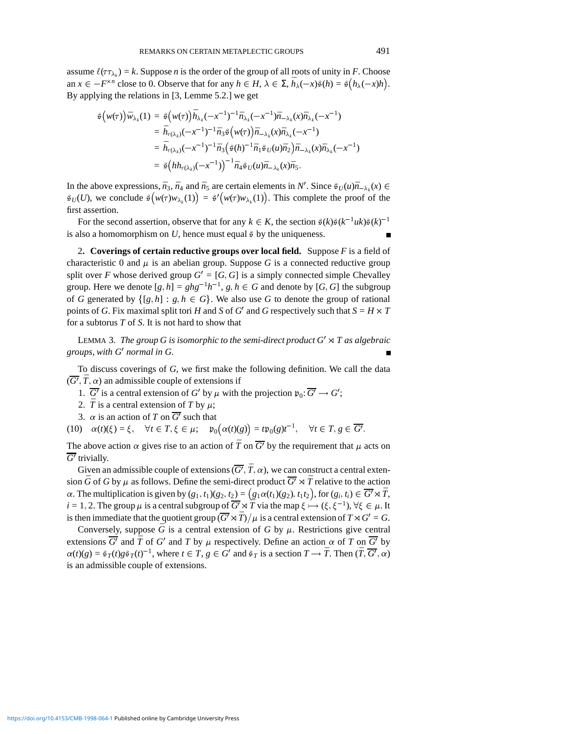assume  $\ell(\tau \tau_{\lambda_k}) = k$ . Suppose *n* is the order of the group of all roots of unity in *F*. Choose an  $x \in -F^{\times n}$  close to 0. Observe that for any  $h \in H$ ,  $\lambda \in \Sigma$ ,  $\bar{h}_{\lambda}(-x)\hat{\varphi}(h) = \hat{\varphi}(\bar{h}_{\lambda}(-x)h)$ . By applying the relations in [3, Lemme 5.2.] we get

$$
\begin{aligned}\n\hat{\varphi}\big(w(\tau)\big)\bar{w}_{\lambda_k}(1) &= \hat{\varphi}\big(w(\tau)\big)\bar{h}_{\lambda_k}(-x^{-1})^{-1}\bar{n}_{\lambda_k}(-x^{-1})\bar{n}_{-\lambda_k}(x)\bar{n}_{\lambda_k}(-x^{-1}) \\
&= \bar{h}_{\tau(\lambda_k)}(-x^{-1})^{-1}\bar{n}_3\hat{\varphi}\big(w(\tau)\big)\bar{n}_{-\lambda_k}(x)\bar{n}_{\lambda_k}(-x^{-1}) \\
&= \bar{h}_{\tau(\lambda_k)}(-x^{-1})^{-1}\bar{n}_3\big(\hat{\varphi}(h)^{-1}\bar{n}_1\hat{\varphi}_U(u)\bar{n}_2\big)\bar{n}_{-\lambda_k}(x)\bar{n}_{\lambda_k}(-x^{-1}) \\
&= \hat{\varphi}\big(hh_{\tau(\lambda_k)}(-x^{-1})\big)^{-1}\bar{n}_4\hat{\varphi}_U(u)\bar{n}_{-\lambda_k}(x)\bar{n}_5.\n\end{aligned}
$$

In the above expressions,  $\bar{n}_3$ ,  $\bar{n}_4$  and  $\bar{n}_5$  are certain elements in N'. Since  $\bar{s}_U(u)\bar{n}_{-\lambda_k}(x) \in$  $\mathfrak{s}_U(U)$ , we conclude  $\mathfrak{s}(w(\tau)w_{\lambda_k}(1)) = \mathfrak{s}'(w(\tau)w_{\lambda_k}(1))$ . This complete the proof of the first assertion.

For the second assertion, observe that for any  $k \in K$ , the section  $\hat{\varphi}(k)\hat{\varphi}(k^{-1}uk)\hat{\varphi}(k)^{-1}$ is also a homomorphism on  $U$ , hence must equal  $\frac{3}{7}$  by the uniqueness.

2**. Coverings of certain reductive groups over local field.** Suppose *F* is a field of characteristic 0 and  $\mu$  is an abelian group. Suppose *G* is a connected reductive group split over *F* whose derived group  $G' = [G, G]$  is a simply connected simple Chevalley group. Here we denote  $[g,h] = ghg^{-1}h^{-1}, g,h \in G$  and denote by  $[G,G]$  the subgroup of *G* generated by  $\{[g,h]: g,h \in G\}$ . We also use *G* to denote the group of rational points of *G*. Fix maximal split tori *H* and *S* of *G*<sup> $\prime$ </sup> and *G* respectively such that  $S = H \times T$ for a subtorus *T* of *S*. It is not hard to show that

LEMMA 3. *The group G is isomorphic to the semi-direct product*  $G' \rtimes T$  *as algebraic groups, with G' normal in G.* 

To discuss coverings of *G*, we first make the following definition. We call the data  $(\overline{G'}, \overline{T}, \alpha)$  an admissible couple of extensions if

1.  $\overline{G'}$  is a central extension of  $G'$  by  $\mu$  with the projection  $\mathfrak{p}_0: \overline{G'} \to G'$ ;

- 2.  $\bar{T}$  is a central extension of *T* by  $\mu$ ;
- 3.  $\alpha$  is an action of *T* on  $\overline{G'}$  such that

(10)  $\alpha(t)(\xi) = \xi$ ,  $\forall t \in T$ ,  $\xi \in \mu$ ;  $\mathfrak{p}_0(\alpha(t)(g)) = t\mathfrak{p}_0(g)t^{-1}$ ,  $\forall t \in T$ ,  $g \in \overline{G'}$ .

The above action  $\alpha$  gives rise to an action of  $\overline{T}$  on  $\overline{G'}$  by the requirement that  $\mu$  acts on  $\overline{G'}$  trivially.

Given an admissible couple of extensions  $(\overline{G'}, \overline{T}, \alpha)$ , we can construct a central extension  $\bar{G}$  of *G* by  $\mu$  as follows. Define the semi-direct product  $\bar{G}^{\prime} \rtimes \bar{T}$  relative to the action  $\alpha$ . The multiplication is given by  $(g_1, t_1)(g_2, t_2) = (g_1\alpha(t_1)(g_2), t_1t_2)$ , for  $(g_i, t_i) \in \overline{G'} \rtimes \overline{T}$ ,  $i = 1, 2$ . The group  $\mu$  is a central subgroup of  $\overline{G'} \rtimes \overline{T}$  via the map  $\xi \mapsto (\xi, \xi^{-1})$ ,  $\forall \xi \in \mu$ . It is then immediate that the quotient group  $(\overline{G'} \rtimes \overline{T})/\mu$  is a central extension of  $T \rtimes G' = G$ .

Conversely, suppose  $\bar{G}$  is a central extension of *G* by  $\mu$ . Restrictions give central extensions  $\overline{G'}$  and  $\overline{T}$  of  $G'$  and  $T$  by  $\mu$  respectively. Define an action  $\alpha$  of  $T$  on  $\overline{G'}$  by  $\alpha(t)(g) = \frac{\beta}{2}T(t)g\frac{\beta}{2}T(t)^{-1}$ , where  $t \in T$ ,  $g \in G'$  and  $\frac{\beta}{2}T$  is a section  $T \to \overline{T}$ . Then  $(\overline{T}, \overline{G'}, \alpha)$ is an admissible couple of extensions.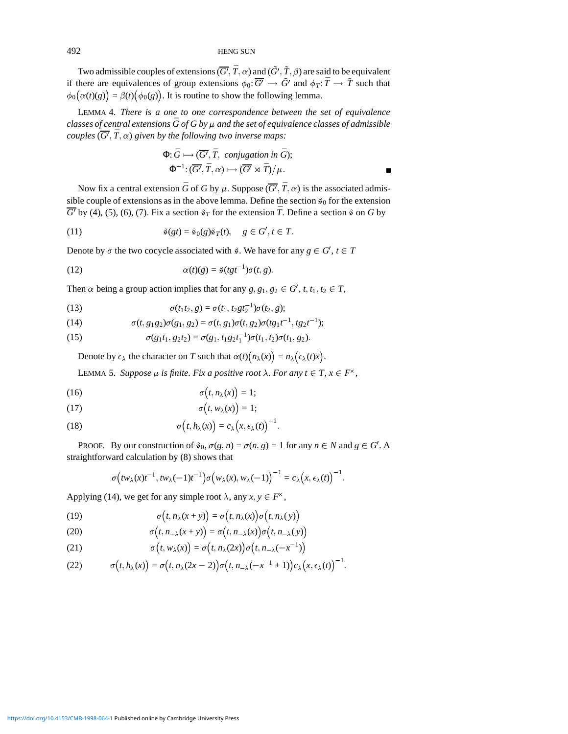Two admissible couples of extensions  $(\overline{G'}, \bar{T}, \alpha)$  and  $(\tilde{G'}, \tilde{T}, \beta)$  are said to be equivalent if there are equivalences of group extensions  $\phi_0: \overline{G'} \to \tilde{G'}$  and  $\phi_T: \overline{T} \to \tilde{T}$  such that  $\phi_0(\alpha(t)(g)) = \beta(t)(\phi_0(g))$ . It is routine to show the following lemma.

LEMMA 4. *There is a one to one correspondence between the set of equivalence classes of central extensions*  $\bar{G}$  *of G by*  $\mu$  *and the set of equivalence classes of admissible*  $\mathit{couples}$   $(\overline{G'}, \overline{T}, \alpha)$  given by the following two inverse maps:

$$
\Phi: \bar{G} \mapsto (\overline{G'}, \bar{T}, \text{ conjugation in } \bar{G});
$$
  

$$
\Phi^{-1}: (\overline{G'}, \bar{T}, \alpha) \mapsto (\overline{G'} \rtimes \bar{T})/\mu.
$$

Now fix a central extension  $\bar{G}$  of *G* by  $\mu$ . Suppose  $(\overline{G'}, \overline{T}, \alpha)$  is the associated admissible couple of extensions as in the above lemma. Define the section  $\hat{s}_0$  for the extension  $\overline{G'}$  by (4), (5), (6), (7). Fix a section  $\hat{\varepsilon}_T$  for the extension  $\overline{T}$ . Define a section  $\hat{\varepsilon}$  on *G* by

(11) 
$$
\hat{\varphi}(gt) = \hat{\varphi}_0(g)\hat{\varphi}_T(t), \quad g \in G', t \in T.
$$

Denote by  $\sigma$  the two cocycle associated with  $\hat{\sigma}$ . We have for any  $g \in G', t \in T$ 

(12) 
$$
\alpha(t)(g) = \mathfrak{F}(tgt^{-1})\sigma(t,g).
$$

Then  $\alpha$  being a group action implies that for any  $g, g_1, g_2 \in G'$ ,  $t, t_1, t_2 \in T$ ,

(13) 
$$
\sigma(t_1t_2, g) = \sigma(t_1, t_2gt_1^{-1})\sigma(t_2, g);
$$

(14) 
$$
\sigma(t, g_1g_2)\sigma(g_1, g_2) = \sigma(t, g_1)\sigma(t, g_2)\sigma(tg_1t^{-1}, tg_2t^{-1});
$$

(15) 
$$
\sigma(g_1t_1, g_2t_2) = \sigma(g_1, t_1g_2t_1^{-1})\sigma(t_1, t_2)\sigma(t_1, g_2).
$$

Denote by  $\epsilon_{\lambda}$  the character on *T* such that  $\alpha(t)(n_{\lambda}(x)) = n_{\lambda}(\epsilon_{\lambda}(t)x)$ .

LEMMA 5. *Suppose*  $\mu$  *is finite. Fix a positive root*  $\lambda$ *. For any*  $t \in T$ *,*  $x \in F^{\times}$ *,* 

$$
\sigma(t, n_{\lambda}(x)) = 1;
$$

$$
\sigma(t, w_{\lambda}(x)) = 1;
$$

(18) 
$$
\sigma(t, h_\lambda(x)) = c_\lambda(x, \epsilon_\lambda(t))^{-1}.
$$

PROOF. By our construction of  $\hat{\sigma}_0$ ,  $\sigma(g, n) = \sigma(n, g) = 1$  for any  $n \in N$  and  $g \in G'$ . A straightforward calculation by (8) shows that

$$
\sigma\big(tw_{\lambda}(x)t^{-1},tw_{\lambda}(-1)t^{-1}\big)\sigma\big(w_{\lambda}(x),w_{\lambda}(-1)\big)^{-1}=c_{\lambda}\big(x,\epsilon_{\lambda}(t)\big)^{-1}.
$$

Applying (14), we get for any simple root  $\lambda$ , any  $x, y \in F^{\times}$ ,

(19) 
$$
\sigma(t, n_{\lambda}(x+y)) = \sigma(t, n_{\lambda}(x))\sigma(t, n_{\lambda}(y))
$$

(20) 
$$
\sigma(t, n_{-\lambda}(x+y)) = \sigma(t, n_{-\lambda}(x))\sigma(t, n_{-\lambda}(y))
$$

(21) 
$$
\sigma(t, w_{\lambda}(x)) = \sigma(t, n_{\lambda}(2x))\sigma(t, n_{-\lambda}(-x^{-1}))
$$

(22) 
$$
\sigma(t, h_\lambda(x)) = \sigma(t, n_\lambda(2x-2))\sigma(t, n_{-\lambda}(-x^{-1}+1))c_\lambda(x, \epsilon_\lambda(t))^{-1}.
$$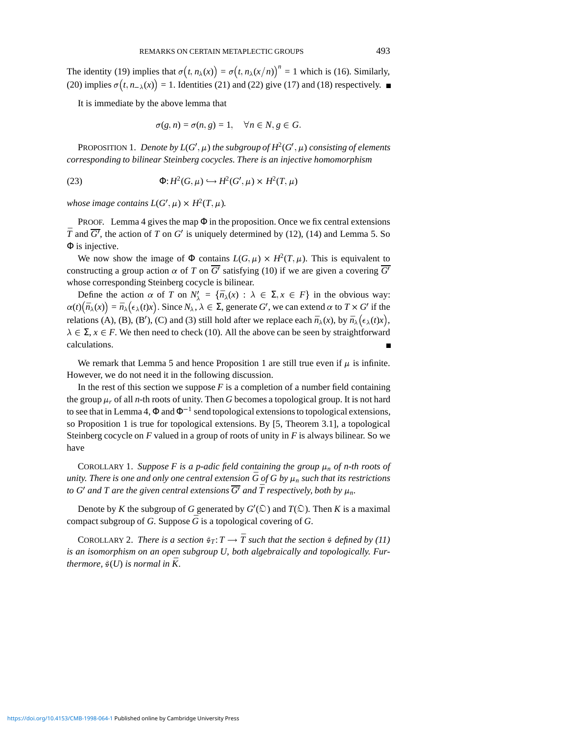The identity (19) implies that  $\sigma(t, n_\lambda(x)) = \sigma(t, n_\lambda(x/n))^n = 1$  which is (16). Similarly, (20) implies  $\sigma(t, n_{-\lambda}(x)) = 1$ . Identities (21) and (22) give (17) and (18) respectively.

It is immediate by the above lemma that

$$
\sigma(g,n)=\sigma(n,g)=1, \quad \forall n\in N, g\in G.
$$

PROPOSITION 1. *Denote by*  $L(G', \mu)$  *the subgroup of*  $H^2(G', \mu)$  *consisting of elements corresponding to bilinear Steinberg cocycles. There is an injective homomorphism*

(23) 
$$
\Phi: H^2(G,\mu) \hookrightarrow H^2(G',\mu) \times H^2(T,\mu)
$$

*whose image contains*  $L(G', \mu) \times H^2(T, \mu)$ *.* 

PROOF. Lemma 4 gives the map  $\Phi$  in the proposition. Once we fix central extensions  $\overline{T}$  and  $\overline{G'}$ , the action of *T* on *G'* is uniquely determined by (12), (14) and Lemma 5. So Φ is injective.

We now show the image of  $\Phi$  contains  $L(G, \mu) \times H^2(T, \mu)$ . This is equivalent to constructing a group action  $\alpha$  of *T* on  $\overline{G}$ <sup>0</sup> satisfying (10) if we are given a covering  $\overline{G}$ <sup>0</sup> whose corresponding Steinberg cocycle is bilinear.

Define the action  $\alpha$  of *T* on  $N'_{\lambda} = {\overline{n_{\lambda}}(x) : \lambda \in \Sigma, x \in F}$  in the obvious way:  $\alpha(t)(\bar{n}_{\lambda}(x)) = \bar{n}_{\lambda}(\epsilon_{\lambda}(t)x)$ . Since  $N_{\lambda}, \lambda \in \Sigma$ , generate *G'*, we can extend  $\alpha$  to  $T \times G'$  if the relations (A), (B), (B'), (C) and (3) still hold after we replace each  $\bar{n}_{\lambda}(x)$ , by  $\bar{n}_{\lambda}(\epsilon_{\lambda}(t)x)$ ,  $\lambda \in \Sigma$ ,  $x \in F$ . We then need to check (10). All the above can be seen by straightforward calculations.

We remark that Lemma 5 and hence Proposition 1 are still true even if  $\mu$  is infinite. However, we do not need it in the following discussion.

In the rest of this section we suppose  $F$  is a completion of a number field containing the group  $\mu_r$  of all *n*-th roots of unity. Then *G* becomes a topological group. It is not hard to see that in Lemma 4,  $\Phi$  and  $\Phi^{-1}$  send topological extensions to topological extensions, so Proposition 1 is true for topological extensions. By [5, Theorem 3.1], a topological Steinberg cocycle on *F* valued in a group of roots of unity in *F* is always bilinear. So we have

COROLLARY 1. Suppose F is a p-adic field containing the group  $\mu_n$  of n-th roots of *unity. There is one and only one central extension*  $\bar{G}$  *of*  $G$  *by*  $\mu_n$  *such that its restrictions to G'* and T are the given central extensions  $\overline{G'}$  and  $\overline{T}$  respectively, both by  $\mu_n$ .

Denote by *K* the subgroup of *G* generated by  $G'(\mathcal{Q})$  and  $T(\mathcal{Q})$ . Then *K* is a maximal compact subgroup of *G*. Suppose  $\overline{G}$  is a topological covering of *G*.

COROLLARY 2. *There is a section*  $\bar{\mathfrak{s}}_T: T \to \bar{T}$  such that the section  $\bar{\mathfrak{s}}$  defined by (11) *is an isomorphism on an open subgroup U, both algebraically and topologically. Furthermore,*  $\mathfrak{F}(U)$  *is normal in*  $\overline{K}$ *.*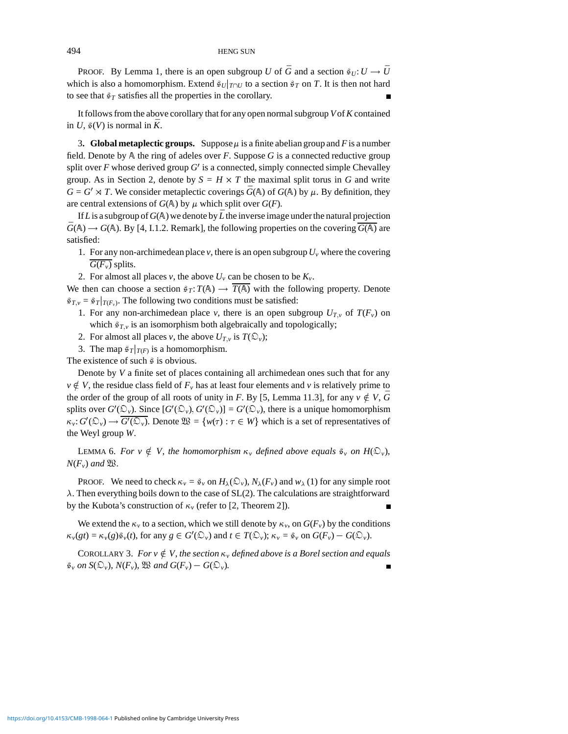PROOF. By Lemma 1, there is an open subgroup *U* of  $\bar{G}$  and a section  $\bar{g}_U: U \to \bar{U}$ which is also a homomorphism. Extend  $\frac{\partial g}{\partial T}$  to a section  $\frac{\partial g}{\partial T}$  on *T*. It is then not hard to see that  $\hat{\mathfrak{s}}_T$  satisfies all the properties in the corollary.

It follows from the above corollary that for any open normal subgroup *V*of*K* contained in *U*,  $\mathcal{G}(V)$  is normal in  $\overline{K}$ .

**3. Global metaplectic groups.** Suppose  $\mu$  is a finite abelian group and *F* is a number field. Denote by A the ring of adeles over *F*. Suppose *G* is a connected reductive group split over  $F$  whose derived group  $G'$  is a connected, simply connected simple Chevalley group. As in Section 2, denote by  $S = H \times T$  the maximal split torus in G and write  $G = G' \rtimes T$ . We consider metaplectic coverings  $\bar{G}(\mathbb{A})$  of  $G(\mathbb{A})$  by  $\mu$ . By definition, they are central extensions of  $G(A)$  by  $\mu$  which split over  $G(F)$ .

If L is a subgroup of  $G(A)$  we denote by  $\bar{L}$  the inverse image under the natural projection  $\bar{G}(\mathbb{A}) \rightarrow G(\mathbb{A})$ . By [4, I.1.2. Remark], the following properties on the covering  $\overline{G(\mathbb{A})}$  are satisfied:

- 1. For any non-archimedean place  $\nu$ , there is an open subgroup  $U_{\nu}$  where the covering  $G(F_v)$  splits.
- 2. For almost all places *v*, the above  $U_v$  can be chosen to be  $K_v$ .

We then can choose a section  $\hat{\varepsilon}_T$ :  $T(\mathbb{A}) \to \overline{T(\mathbb{A})}$  with the following property. Denote  $\mathfrak{s}_{T,v} = \mathfrak{s}_T|_{T(F_v)}$ . The following two conditions must be satisfied:

- 1. For any non-archimedean place *v*, there is an open subgroup  $U_{T,v}$  of  $T(F_v)$  on which  $\hat{\sigma}_{T,v}$  is an isomorphism both algebraically and topologically;
- 2. For almost all places *v*, the above  $U_{T,v}$  is  $T(\mathcal{D}_v)$ ;
- 3. The map  $\frac{\epsilon}{T}$ *T*<sub>*I*</sub> $\frac{\epsilon}{T}$  is a homomorphism.

The existence of such  $\hat{s}$  is obvious.

Denote by *V* a finite set of places containing all archimedean ones such that for any  $v \notin V$ , the residue class field of  $F_v$  has at least four elements and *v* is relatively prime to the order of the group of all roots of unity in *F*. By [5, Lemma 11.3], for any  $v \notin V$ ,  $\overline{G}$ splits over  $G'(\mathcal{D}_v)$ . Since  $[G'(\mathcal{D}_v), G'(\mathcal{D}_v)] = G'(\mathcal{D}_v)$ , there is a unique homomorphism  $\kappa_v: G'(\mathbb{Q}_v) \to G'(\mathbb{Q}_v)$ . Denote  $\mathfrak{W} = \{w(\tau) : \tau \in W\}$  which is a set of representatives of the Weyl group *W*.

LEMMA 6. For  $v \notin V$ , the homomorphism  $\kappa_v$  defined above equals  $\tilde{\varepsilon}_v$  on  $H(\mathfrak{O}_v)$ ,  $N(F_v)$  *and*  $\mathfrak{B}$ *.* 

**PROOF.** We need to check  $\kappa_v = \hat{\varepsilon}_v$  on  $H_\lambda(\mathcal{D}_v)$ ,  $N_\lambda(F_v)$  and  $w_\lambda(1)$  for any simple root  $\lambda$ . Then everything boils down to the case of SL(2). The calculations are straightforward by the Kubota's construction of  $\kappa$  (refer to [2, Theorem 2]).

We extend the  $\kappa_v$  to a section, which we still denote by  $\kappa_v$ , on  $G(F_v)$  by the conditions  $\kappa_v(gt) = \kappa_v(g)\tilde{\varepsilon}_v(t)$ , for any  $g \in G'(\mathcal{D}_v)$  and  $t \in T(\mathcal{D}_v)$ ;  $\kappa_v = \tilde{\varepsilon}_v$  on  $G(F_v) - G(\mathcal{D}_v)$ .

COROLLARY 3. *For*  $v \notin V$ , the section  $\kappa_v$  defined above is a Borel section and equals  $\hat{\mathcal{G}}_{\nu}$  *on*  $S(\mathcal{D}_{\nu})$ *,*  $N(F_{\nu})$ *,*  $\mathcal{W}$  *and*  $G(F_{\nu}) - G(\mathcal{D}_{\nu})$ *.*  $\blacksquare$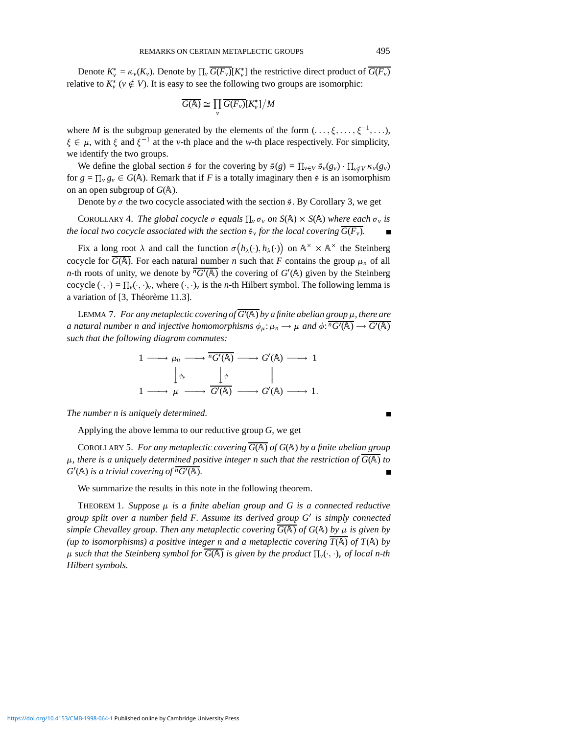Denote  $K_v^* = \kappa_v(K_v)$ . Denote by  $\prod_v \overline{G(F_v)}[K_v^*]$  the restrictive direct product of  $\overline{G(F_v)}$ relative to  $K^*_{\nu}$  ( $\nu \notin V$ ). It is easy to see the following two groups are isomorphic:

$$
\overline{G(\mathbb{A})}\cong \prod_{v}\overline{G(F_{v})}[K_{v}^{*}]/M
$$

where *M* is the subgroup generated by the elements of the form  $(\ldots, \xi, \ldots, \xi^{-1}, \ldots)$ ,  $\xi \in \mu$ , with  $\xi$  and  $\xi^{-1}$  at the *v*-th place and the *w*-th place respectively. For simplicity, we identify the two groups.

We define the global section  $\hat{\varphi}$  for the covering by  $\hat{\varphi}(g) = \prod_{v \in V} \hat{\varphi}_v(g_v) \cdot \prod_{v \notin V} \kappa_v(g_v)$ for  $g = \prod_v g_v \in G(\mathbb{A})$ . Remark that if *F* is a totally imaginary then  $\hat{s}$  is an isomorphism on an open subgroup of  $G(A)$ .

Denote by  $\sigma$  the two cocycle associated with the section  $\tilde{\sigma}$ . By Corollary 3, we get

COROLLARY 4. *The global cocycle*  $\sigma$  equals  $\prod_{\nu} \sigma_{\nu}$  on  $S(\mathbb{A}) \times S(\mathbb{A})$  where each  $\sigma_{\nu}$  is *the local two cocycle associated with the section*  $\hat{\mathfrak{s}}_v$  *for the local covering*  $G(F_v)$ *.* 

Fix a long root  $\lambda$  and call the function  $\sigma(h_\lambda(\cdot), h_\lambda(\cdot))$  on  $\mathbb{A}^\times \times \mathbb{A}^\times$  the Steinberg cocycle for  $\overline{G(A)}$ . For each natural number *n* such that *F* contains the group  $\mu_n$  of all *n*-th roots of unity, we denote by  $\sqrt[n]{G'(\mathbb{A})}$  the covering of  $G'(\mathbb{A})$  given by the Steinberg cocycle  $(\cdot, \cdot) = \prod_{\nu} (\cdot, \cdot)_{\nu}$ , where  $(\cdot, \cdot)_{\nu}$  is the *n*-th Hilbert symbol. The following lemma is a variation of  $[3,$  Théorème 11.3].

LEMMA 7. For any metaplectic covering of  $G'(\mathbb{A})$  by a finite abelian group  $\mu$ , there are *a natural number n and injective homomorphisms*  $\phi_\mu: \mu_n \to \mu$  *and*  $\phi: \overline{^nG'(\mathbb{A})} \to \overline{G'(\mathbb{A})}$ *such that the following diagram commutes:*

$$
\begin{array}{ccccccc}\n1 & \longrightarrow & \mu_n & \longrightarrow & \overline{rG'(A)} & \longrightarrow & G'(A) & \longrightarrow & 1 \\
& & \downarrow_{\phi_\mu} & & \downarrow_{\phi} & & \parallel \\
1 & \longrightarrow & \mu & \longrightarrow & \overline{G'(A)} & \longrightarrow & G'(A) & \longrightarrow & 1.\n\end{array}
$$

*The number n is uniquely determined.*

Applying the above lemma to our reductive group *G*, we get

COROLLARY 5. For any metaplectic covering  $\overline{G(A)}$  of  $G(A)$  by a finite abelian group  $\mu$ , there is a uniquely determined positive integer n such that the restriction of  $\overline{G(A)}$  to  $G'(\mathbb{A})$  *is a trivial covering of*  $\overline{{}^nG'(\mathbb{A})}$ *.* 

We summarize the results in this note in the following theorem.

THEOREM 1. Suppose  $\mu$  is a finite abelian group and G is a connected reductive *group split over a number field F. Assume its derived group G*<sup>0</sup> *is simply connected simple Chevalley group. Then any metaplectic covering*  $\overline{G(\mathbb{A})}$  *of*  $G(\mathbb{A})$  *by*  $\mu$  *is given by (up to isomorphisms) a positive integer n and a metaplectic covering*  $\overline{T(A)}$  *of*  $T(A)$  *by*  $\mu$  such that the Steinberg symbol for  $\overline{G(\mathbb{A})}$  is given by the product  $\prod_{v}(\cdot,\cdot)_{v}$  of local n-th *Hilbert symbols.*